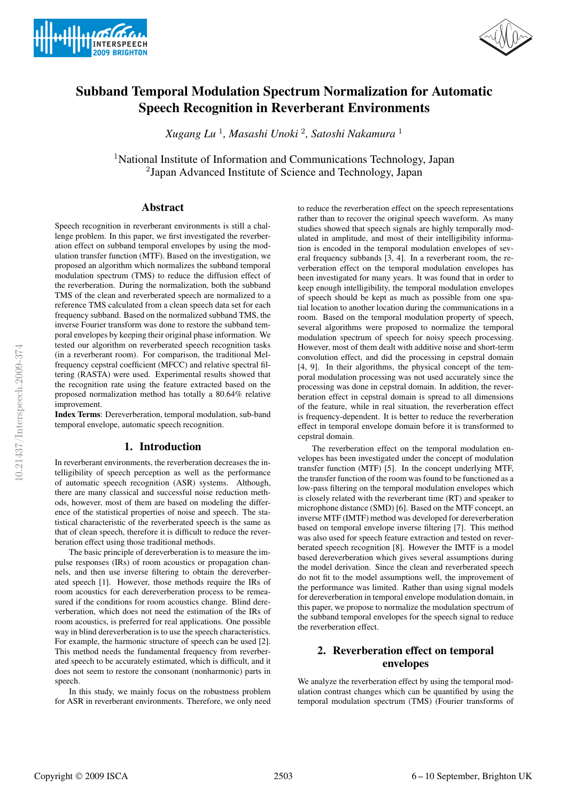



# Subband Temporal Modulation Spectrum Normalization for Automatic Speech Recognition in Reverberant Environments

*Xugang Lu* <sup>1</sup>*, Masashi Unoki* <sup>2</sup>*, Satoshi Nakamura* <sup>1</sup>

<sup>1</sup>National Institute of Information and Communications Technology, Japan <sup>2</sup>Japan Advanced Institute of Science and Technology, Japan

# Abstract

Speech recognition in reverberant environments is still a challenge problem. In this paper, we first investigated the reverberation effect on subband temporal envelopes by using the modulation transfer function (MTF). Based on the investigation, we proposed an algorithm which normalizes the subband temporal modulation spectrum (TMS) to reduce the diffusion effect of the reverberation. During the normalization, both the subband TMS of the clean and reverberated speech are normalized to a reference TMS calculated from a clean speech data set for each frequency subband. Based on the normalized subband TMS, the inverse Fourier transform was done to restore the subband temporal envelopes by keeping their original phase information. We tested our algorithm on reverberated speech recognition tasks (in a reverberant room). For comparison, the traditional Melfrequency cepstral coefficient (MFCC) and relative spectral filtering (RASTA) were used. Experimental results showed that the recognition rate using the feature extracted based on the proposed normalization method has totally a 80.64% relative improvement.

Index Terms: Dereverberation, temporal modulation, sub-band temporal envelope, automatic speech recognition.

## 1. Introduction

In reverberant environments, the reverberation decreases the intelligibility of speech perception as well as the performance of automatic speech recognition (ASR) systems. Although, there are many classical and successful noise reduction methods, however, most of them are based on modeling the difference of the statistical properties of noise and speech. The statistical characteristic of the reverberated speech is the same as that of clean speech, therefore it is difficult to reduce the reverberation effect using those traditional methods.

The basic principle of dereverberation is to measure the impulse responses (IRs) of room acoustics or propagation channels, and then use inverse filtering to obtain the dereverberated speech [1]. However, those methods require the IRs of room acoustics for each dereverberation process to be remeasured if the conditions for room acoustics change. Blind dereverberation, which does not need the estimation of the IRs of room acoustics, is preferred for real applications. One possible way in blind dereverberation is to use the speech characteristics. For example, the harmonic structure of speech can be used [2]. This method needs the fundamental frequency from reverberated speech to be accurately estimated, which is difficult, and it does not seem to restore the consonant (nonharmonic) parts in speech.

In this study, we mainly focus on the robustness problem for ASR in reverberant environments. Therefore, we only need to reduce the reverberation effect on the speech representations rather than to recover the original speech waveform. As many studies showed that speech signals are highly temporally modulated in amplitude, and most of their intelligibility information is encoded in the temporal modulation envelopes of several frequency subbands [3, 4]. In a reverberant room, the reverberation effect on the temporal modulation envelopes has been investigated for many years. It was found that in order to keep enough intelligibility, the temporal modulation envelopes of speech should be kept as much as possible from one spatial location to another location during the communications in a room. Based on the temporal modulation property of speech, several algorithms were proposed to normalize the temporal modulation spectrum of speech for noisy speech processing. However, most of them dealt with additive noise and short-term convolution effect, and did the processing in cepstral domain [4, 9]. In their algorithms, the physical concept of the temporal modulation processing was not used accurately since the processing was done in cepstral domain. In addition, the reverberation effect in cepstral domain is spread to all dimensions of the feature, while in real situation, the reverberation effect is frequency-dependent. It is better to reduce the reverberation effect in temporal envelope domain before it is transformed to cepstral domain.

The reverberation effect on the temporal modulation envelopes has been investigated under the concept of modulation transfer function (MTF) [5]. In the concept underlying MTF, the transfer function of the room was found to be functioned as a low-pass filtering on the temporal modulation envelopes which is closely related with the reverberant time (RT) and speaker to microphone distance (SMD) [6]. Based on the MTF concept, an inverse MTF (IMTF) method was developed for dereverberation based on temporal envelope inverse filtering [7]. This method was also used for speech feature extraction and tested on reverberated speech recognition [8]. However the IMTF is a model based dereverberation which gives several assumptions during the model derivation. Since the clean and reverberated speech do not fit to the model assumptions well, the improvement of the performance was limited. Rather than using signal models for dereverberation in temporal envelope modulation domain, in this paper, we propose to normalize the modulation spectrum of the subband temporal envelopes for the speech signal to reduce the reverberation effect.

# 2. Reverberation effect on temporal envelopes

We analyze the reverberation effect by using the temporal modulation contrast changes which can be quantified by using the temporal modulation spectrum (TMS) (Fourier transforms of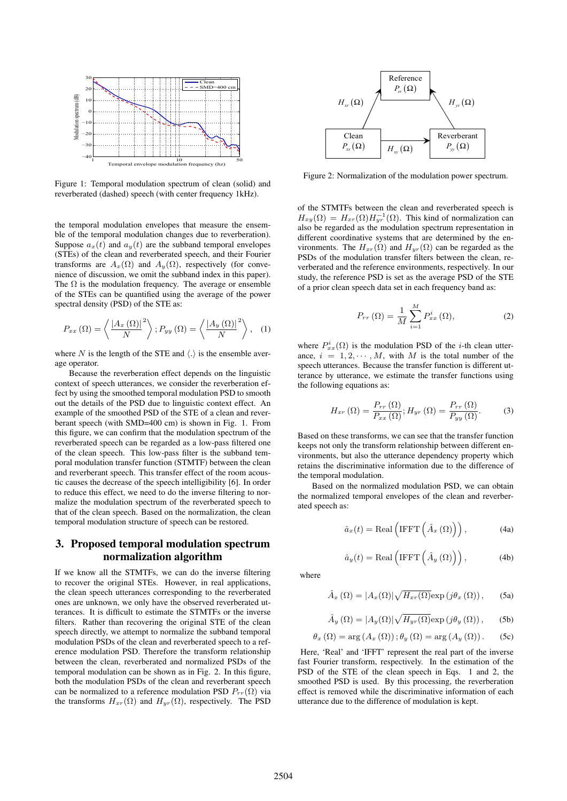

Figure 1: Temporal modulation spectrum of clean (solid) and reverberated (dashed) speech (with center frequency 1kHz).

the temporal modulation envelopes that measure the ensemble of the temporal modulation changes due to reverberation). Suppose  $a_x(t)$  and  $a_y(t)$  are the subband temporal envelopes (STEs) of the clean and reverberated speech, and their Fourier transforms are  $A_x(\Omega)$  and  $A_y(\Omega)$ , respectively (for convenience of discussion, we omit the subband index in this paper). The  $\Omega$  is the modulation frequency. The average or ensemble of the STEs can be quantified using the average of the power spectral density (PSD) of the STE as:

$$
P_{xx}(\Omega) = \left\langle \frac{|A_x(\Omega)|^2}{N} \right\rangle; P_{yy}(\Omega) = \left\langle \frac{|A_y(\Omega)|^2}{N} \right\rangle, \quad (1)
$$

where N is the length of the STE and  $\langle . \rangle$  is the ensemble average operator.

Because the reverberation effect depends on the linguistic context of speech utterances, we consider the reverberation effect by using the smoothed temporal modulation PSD to smooth out the details of the PSD due to linguistic context effect. An example of the smoothed PSD of the STE of a clean and reverberant speech (with SMD=400 cm) is shown in Fig. 1. From this figure, we can confirm that the modulation spectrum of the reverberated speech can be regarded as a low-pass filtered one of the clean speech. This low-pass filter is the subband temporal modulation transfer function (STMTF) between the clean and reverberant speech. This transfer effect of the room acoustic causes the decrease of the speech intelligibility [6]. In order to reduce this effect, we need to do the inverse filtering to normalize the modulation spectrum of the reverberated speech to that of the clean speech. Based on the normalization, the clean temporal modulation structure of speech can be restored.

## 3. Proposed temporal modulation spectrum normalization algorithm

If we know all the STMTFs, we can do the inverse filtering to recover the original STEs. However, in real applications, the clean speech utterances corresponding to the reverberated ones are unknown, we only have the observed reverberated utterances. It is difficult to estimate the STMTFs or the inverse filters. Rather than recovering the original STE of the clean speech directly, we attempt to normalize the subband temporal modulation PSDs of the clean and reverberated speech to a reference modulation PSD. Therefore the transform relationship between the clean, reverberated and normalized PSDs of the temporal modulation can be shown as in Fig. 2. In this figure, both the modulation PSDs of the clean and reverberant speech can be normalized to a reference modulation PSD  $P_{rr}(\Omega)$  via the transforms  $H_{xr}(\Omega)$  and  $H_{yr}(\Omega)$ , respectively. The PSD



Figure 2: Normalization of the modulation power spectrum.

of the STMTFs between the clean and reverberated speech is  $H_{xy}(\Omega) = H_{xr}(\Omega)H_{yr}^{-1}(\Omega)$ . This kind of normalization can also be regarded as the modulation spectrum representation in different coordinative systems that are determined by the environments. The  $H_{xr}(\Omega)$  and  $H_{yr}(\Omega)$  can be regarded as the PSDs of the modulation transfer filters between the clean, reverberated and the reference environments, respectively. In our study, the reference PSD is set as the average PSD of the STE of a prior clean speech data set in each frequency band as:

$$
P_{rr}(\Omega) = \frac{1}{M} \sum_{i=1}^{M} P_{xx}^{i}(\Omega),
$$
\n(2)

where  $P_{xx}^{i}(\Omega)$  is the modulation PSD of the *i*-th clean utterance,  $i = 1, 2, \dots, M$ , with M is the total number of the speech utterances. Because the transfer function is different utterance by utterance, we estimate the transfer functions using the following equations as:

$$
H_{xr}(\Omega) = \frac{P_{rr}(\Omega)}{P_{xx}(\Omega)}; H_{yr}(\Omega) = \frac{P_{rr}(\Omega)}{P_{yy}(\Omega)}.
$$
 (3)

Based on these transforms, we can see that the transfer function keeps not only the transform relationship between different environments, but also the utterance dependency property which retains the discriminative information due to the difference of the temporal modulation.

Based on the normalized modulation PSD, we can obtain the normalized temporal envelopes of the clean and reverberated speech as:

$$
\hat{a}_x(t) = \text{Real}\left(\text{IFFT}\left(\hat{A}_x\left(\Omega\right)\right)\right),\tag{4a}
$$

$$
\hat{a}_y(t) = \text{Real}\left(\text{IFFT}\left(\hat{A}_y\left(\Omega\right)\right)\right),\tag{4b}
$$

where

$$
\hat{A}_x(\Omega) = |A_x(\Omega)| \sqrt{H_{xr}(\Omega)} \exp(j\theta_x(\Omega)), \quad (5a)
$$

$$
\hat{A}_y(\Omega) = |A_y(\Omega)| \sqrt{H_{yr}(\Omega)} \exp(j\theta_y(\Omega)), \quad (5b)
$$

$$
\theta_x(\Omega) = \arg (A_x(\Omega)) ; \theta_y(\Omega) = \arg (A_y(\Omega)) .
$$
 (5c)

Here, 'Real' and 'IFFT' represent the real part of the inverse fast Fourier transform, respectively. In the estimation of the PSD of the STE of the clean speech in Eqs. 1 and 2, the smoothed PSD is used. By this processing, the reverberation effect is removed while the discriminative information of each utterance due to the difference of modulation is kept.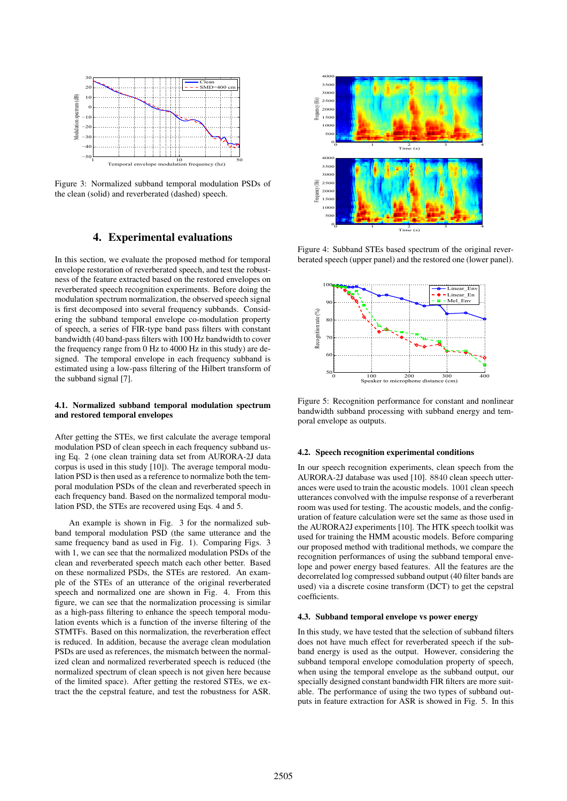

Figure 3: Normalized subband temporal modulation PSDs of the clean (solid) and reverberated (dashed) speech.

## 4. Experimental evaluations

In this section, we evaluate the proposed method for temporal envelope restoration of reverberated speech, and test the robustness of the feature extracted based on the restored envelopes on reverberated speech recognition experiments. Before doing the modulation spectrum normalization, the observed speech signal is first decomposed into several frequency subbands. Considering the subband temporal envelope co-modulation property of speech, a series of FIR-type band pass filters with constant bandwidth (40 band-pass filters with 100 Hz bandwidth to cover the frequency range from 0 Hz to 4000 Hz in this study) are designed. The temporal envelope in each frequency subband is estimated using a low-pass filtering of the Hilbert transform of the subband signal [7].

#### 4.1. Normalized subband temporal modulation spectrum and restored temporal envelopes

After getting the STEs, we first calculate the average temporal modulation PSD of clean speech in each frequency subband using Eq. 2 (one clean training data set from AURORA-2J data corpus is used in this study [10]). The average temporal modulation PSD is then used as a reference to normalize both the temporal modulation PSDs of the clean and reverberated speech in each frequency band. Based on the normalized temporal modulation PSD, the STEs are recovered using Eqs. 4 and 5.

An example is shown in Fig. 3 for the normalized subband temporal modulation PSD (the same utterance and the same frequency band as used in Fig. 1). Comparing Figs. 3 with 1, we can see that the normalized modulation PSDs of the clean and reverberated speech match each other better. Based on these normalized PSDs, the STEs are restored. An example of the STEs of an utterance of the original reverberated speech and normalized one are shown in Fig. 4. From this figure, we can see that the normalization processing is similar as a high-pass filtering to enhance the speech temporal modulation events which is a function of the inverse filtering of the STMTFs. Based on this normalization, the reverberation effect is reduced. In addition, because the average clean modulation PSDs are used as references, the mismatch between the normalized clean and normalized reverberated speech is reduced (the normalized spectrum of clean speech is not given here because of the limited space). After getting the restored STEs, we extract the the cepstral feature, and test the robustness for ASR.



Figure 4: Subband STEs based spectrum of the original reverberated speech (upper panel) and the restored one (lower panel).



Figure 5: Recognition performance for constant and nonlinear bandwidth subband processing with subband energy and temporal envelope as outputs.

#### 4.2. Speech recognition experimental conditions

In our speech recognition experiments, clean speech from the AURORA-2J database was used [10]. 8840 clean speech utterances were used to train the acoustic models. 1001 clean speech utterances convolved with the impulse response of a reverberant room was used for testing. The acoustic models, and the configuration of feature calculation were set the same as those used in the AURORA2J experiments [10]. The HTK speech toolkit was used for training the HMM acoustic models. Before comparing our proposed method with traditional methods, we compare the recognition performances of using the subband temporal envelope and power energy based features. All the features are the decorrelated log compressed subband output (40 filter bands are used) via a discrete cosine transform (DCT) to get the cepstral coefficients.

#### 4.3. Subband temporal envelope vs power energy

In this study, we have tested that the selection of subband filters does not have much effect for reverberated speech if the subband energy is used as the output. However, considering the subband temporal envelope comodulation property of speech, when using the temporal envelope as the subband output, our specially designed constant bandwidth FIR filters are more suitable. The performance of using the two types of subband outputs in feature extraction for ASR is showed in Fig. 5. In this